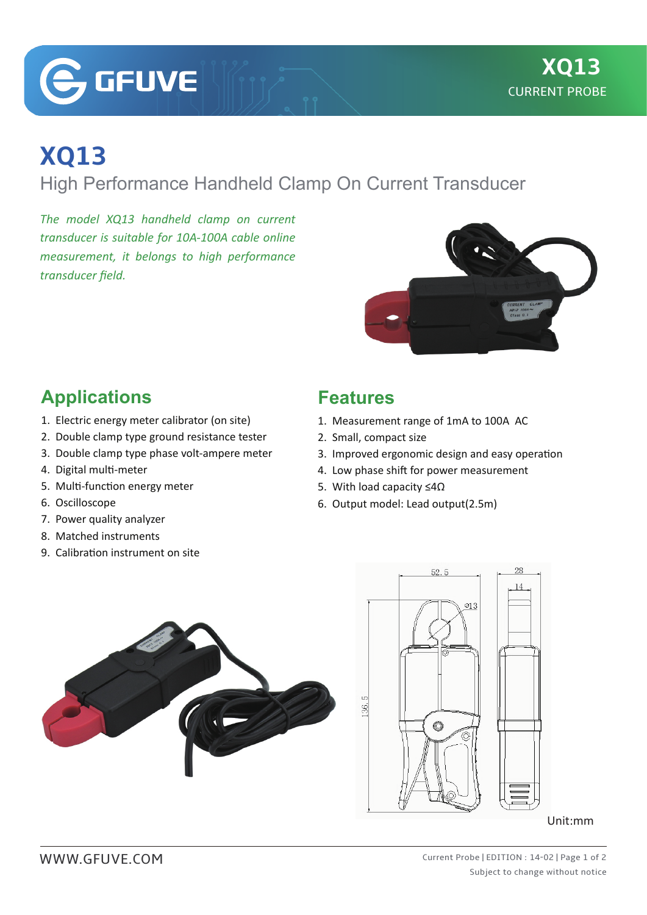**G**GFUVE

## **XQ13**

High Performance Handheld Clamp On Current Transducer

*The model XQ13 handheld clamp on current transducer is suitable for 10A-100A cable online measurement, it belongs to high performance transducer field.*



## **Applications**

- 1. Electric energy meter calibrator (on site)
- 2. Double clamp type ground resistance tester
- 3. Double clamp type phase volt-ampere meter
- 4. Digital multi-meter
- 5. Multi-function energy meter
- 6. Oscilloscope
- 7. Power quality analyzer
- 8. Matched instruments
- 9. Calibration instrument on site

## **Features**

- 1. Measurement range of 1mA to 100A AC
- 2. Small, compact size
- 3. Improved ergonomic design and easy operation
- 4. Low phase shift for power measurement
- 5. With load capacity ≤4Ω
- 6. Output model: Lead output(2.5m)





Unit:mm